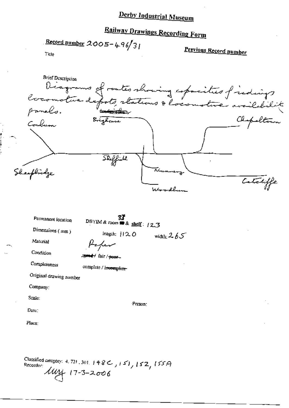# Railway Drawings Recording Form

Record number  $2005 - 496/31$ 

Previous Record number

Title

**Brief Description** Diagrams of roates showing copocities of indings Chapelton Brighame Corobum **Skeffield** Sheephidge Cataliffe

| Permanent location      | -27<br>DBYIM & room $\blacksquare$ & shelf: (2.3) |
|-------------------------|---------------------------------------------------|
| Dimensions (mm)         | length: 1120<br>width: $2.65^\circ$               |
| Material                | frafew                                            |
| Condition               | -seed-/ fair / sees-                              |
| Completeness            | complete / incomplete-                            |
| Original drawing number |                                                   |
| Company:                |                                                   |
| Scale:                  | Person:                                           |
| Date:                   |                                                   |
| Place:                  |                                                   |

Classified category: 4, 721, 301, 148C, 151, 152, 155A<br>Recorder:  $\mu$   $\mu$  (7-3-2006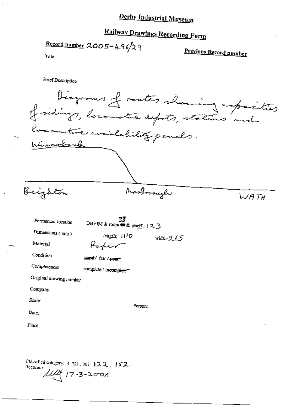# Railway Drawings Recording Form

Record number  $2005 - 496/29$ 

Previous Record number

Title

**Brief Description** 

| rlin <u>cola</u> nd                                                                                                                                                        | Diagrams of rautes showing capacio<br>reconstrue availability panels.                                                |                         |      |
|----------------------------------------------------------------------------------------------------------------------------------------------------------------------------|----------------------------------------------------------------------------------------------------------------------|-------------------------|------|
| Beighton                                                                                                                                                                   |                                                                                                                      | Marborough              | WATH |
| Permanent Iocation<br>Dimensions (mm)<br>Material<br>Condition<br>Completeness<br>Original drawing number<br>Company:<br>Scale:<br>$\mathbf{D}_{\mathbf{d}}$ te.<br>Place: | 77<br>DBYIM & room $\bullet$ & shelf: 123<br>length: $1110$<br>Kaher<br>seed / fair / peer<br>complete / incomplete" | width: $265$<br>Person: |      |
|                                                                                                                                                                            |                                                                                                                      |                         |      |

Classified entergry: 4.721.301.122,152.<br>Recorder:<br> $\mathcal{U}\mathcal{U}^{\circ}$  17-3-2006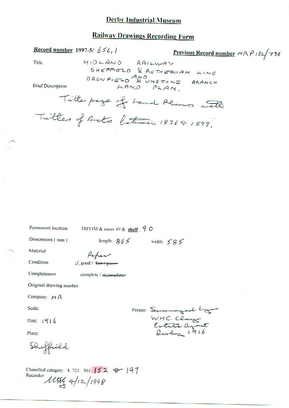# **Railway Drawings Recording Form**

**Record number 1997-5/ 656, 1** 

Previous Record number MRP 132/736

Title

MIDLAND RAILWAY<br>SHEFFIELD & ROTHERHAM LINE DRONFIELD AND UNSTONE BRANCH LAND PLAN

**Brief Description** 

Title page of hand Reams with Titles of Acts between 183681899.

Permanent location

DBYIM & room 49 & shelf:  $90$ 

Dimensions (mm)

length:  $865$  width:  $585$ 

Material

Condition

Paper V, good / fair / poor

Completeness

complete / incomplete-

Original drawing number

Company:  $M R$ 

Scale:

Date:  $1916$ 

Place:

Sheffield

Classified category: 4.721.301.152 @ 149 Recorder: 11064 4/12/1998

Person: Summergard hog WHC Clays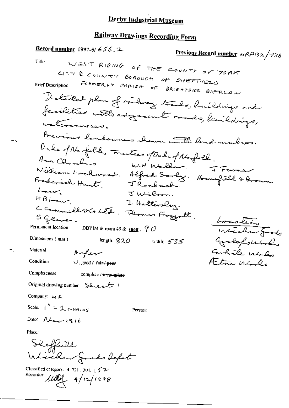$\ddot{\phantom{0}}$ 

# **Railway Drawings Recording Form**

| <b>Record number</b> 1997-5/ $656.2$                             | Previous Record number MRP132/736 |
|------------------------------------------------------------------|-----------------------------------|
| Title                                                            |                                   |
| WEST RIDING OF THE COUNTY OF YORK                                |                                   |
| CITY & COUNTY BOROUGH OF SHEFFIELD<br><b>Brief Description</b>   |                                   |
| FORMERLY PARISH OF BRIGHTSIDE BIERLOW                            |                                   |
|                                                                  |                                   |
| Detailed plan of railway tracks, buildings and                   |                                   |
| facilities with adjournt rands, binildings,<br>vatermenses.      |                                   |
|                                                                  |                                   |
| Bevious landowners aboun with beach rumbers.                     |                                   |
| Duke of Norfolk, Fruiters of Duke of Norfolk.                    |                                   |
| Ann Chambers, W.H. Walker, J Furner                              |                                   |
| William Hockmood. Alfred Sorly: Hounfield & Aroun                |                                   |
| Frederick Hant, JRochack.<br>hour                                |                                   |
| JWilm.<br>HBL and                                                |                                   |
| I Haltersley.                                                    |                                   |
| C Cammello Co Led. Flowers Fraggatt.<br>S Glave.                 | Location                          |
| Permanent location<br>DBYIM & room 49 & shelf: $70$              | Wicher Goods                      |
| Dimensions (mm)<br>length, $820$<br>width: $535$                 | Greenfolloredo                    |
| Material<br>Arper                                                | Carlile Winds                     |
| Condition<br>$\vee$ , good / fair / peer                         | Alm Wards                         |
| Completeness<br>complete / incomplete                            |                                   |
| Original drawing number Sheet 1                                  |                                   |
| Company: 34 A                                                    |                                   |
| Scale: $I'' = 2 \epsilon H A_{HMS}$<br>Person:                   |                                   |
| Date: $\Lambda$ Lavelqib                                         |                                   |
| Place:                                                           |                                   |
|                                                                  |                                   |
| Sleffield<br>Wicker Joods lefot                                  |                                   |
| Classified category: 4, 721, 301, 152-<br>Recorder:<br>4/12/1998 |                                   |

 $\sim$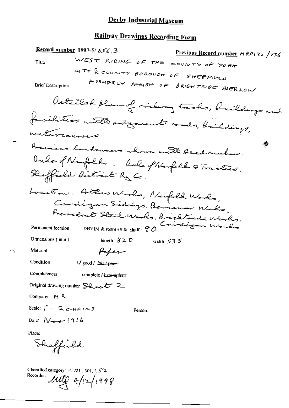# Railway Drawings Recording Form

|                                                                | 3. /kecord number 1997-5/ 456.                       | Previous Record number HRP132 /736            |
|----------------------------------------------------------------|------------------------------------------------------|-----------------------------------------------|
| Title                                                          |                                                      | WEST RIDING OF THE COUNTY OF YORK             |
|                                                                |                                                      | GITY & COUNTY BOROUGH OF SHEFFELD             |
| Brief Description                                              |                                                      | FORMERLY PARISH OF BRIGHTSIDE BIERLOW         |
|                                                                |                                                      | Detailed plan of miling tracks, buildings and |
|                                                                |                                                      | facilities with adjournt rands, haildings,    |
| materiannes                                                    |                                                      |                                               |
|                                                                |                                                      | Acvious landowners shown with deed runber.    |
|                                                                |                                                      |                                               |
|                                                                | Sheffield District Ry Co.                            | Duke of Nagolh, luce of Nagolh a Trantics.    |
|                                                                |                                                      | Location: Allas Works, Norfolk Works,         |
|                                                                |                                                      | Cardigan Sidings. Bessenar Waks.              |
|                                                                |                                                      | President Steel Works, Brightonde Works,      |
| Permanent location                                             | DBYIM & room 49 & shelf 90                           | Candigan Works                                |
| Dimensions (mm)                                                | length $320$                                         | width: $53.5$                                 |
| Material                                                       | Peper                                                |                                               |
| Condition                                                      | $\vee$ good / fair / poor                            |                                               |
| Completeness                                                   | complete / incomplete                                |                                               |
|                                                                | Original drawing number $\sum Q_{\text{ref}}$ $\sum$ |                                               |
| Company: M R                                                   |                                                      |                                               |
| Scale: $i'' = 2$ $\leq$ $\epsilon$ $\epsilon$ $\alpha$ $\beta$ |                                                      | Person:                                       |
| Date: $N_{\text{max}}$ (916                                    |                                                      |                                               |
| Place:                                                         |                                                      |                                               |
| Sheffield                                                      |                                                      |                                               |
| Classified category: 4, 721, 301, 15 <sup>2</sup><br>Recorder: | $\mu_{\text{V}}$ +/12/1998                           |                                               |

 $\sim$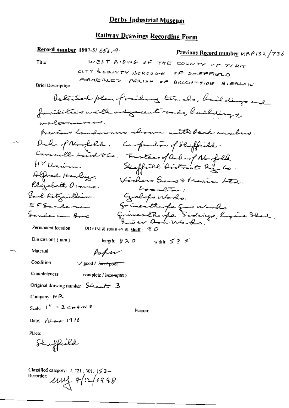# Railway Drawings Recording Form

 $\sim$ 

۰,

| Record number 1997-5/656.4                                                               | P <u>revious Record number</u> MRP 132/73 <i>6</i> |
|------------------------------------------------------------------------------------------|----------------------------------------------------|
| WEST RIDING OF THE COUNTY OF YORK<br>Title                                               |                                                    |
| GITY & COUNTY BOROUGH                                                                    | aF Sa∉PReto                                        |
| FORMERLEY PARISH OF BRIGHTSIDE BIERLOW<br><b>Brief Description</b>                       |                                                    |
| Detailed planeformiling trades, baildings and                                            |                                                    |
| facilities with adgreent roads, buildings,                                               |                                                    |
| wal <del>er</del> aursen,                                                                |                                                    |
| frevers landowners revour with Read unabers.                                             |                                                    |
| Dake of Norfolk.<br>Componention of Sheffield.                                           |                                                    |
| Commell Laint & Co. Trustees of Dake of Norfolk                                          |                                                    |
| HY Unim.                                                                                 | Shaffield dostrict Rig Co.                         |
| Alfred Henleys.<br>Elizabeth Ocamo.                                                      | Vickers Sons & Maxim Ltd.                          |
| bocalin;<br>Earl Litzwilliam.                                                            |                                                    |
| Gerlops Works.<br>EFSanderson                                                            |                                                    |
| Sanderson Broo                                                                           | grimanthurfe good works                            |
| Permanent location<br>DBYIM & room 49 & shelf: $Q$                                       | Grimmer thought Sidnings, Engine Shad.             |
| Dimensions (mm)<br>width: $53 \times$<br>length: $\frac{1}{2}$ 2. O                      |                                                    |
| Material<br>Paper                                                                        |                                                    |
| Condition<br>$\sqrt{\text{good}/\text{f} \pi \cdot \text{top}}$                          |                                                    |
| Completeness<br>complete / iscomplete                                                    |                                                    |
| Original drawing number $5a + 3$                                                         |                                                    |
| Company: $M R$                                                                           |                                                    |
| Scale: $1'' = 2$ c+ A (M S)<br>Person:                                                   |                                                    |
| Date: $\sqrt{1.6} - 19.16$                                                               |                                                    |
| Place:<br>Shuffield                                                                      |                                                    |
| Classified category: $4.721$ , 301, $\frac{1}{2}$ 2 -<br>Recorder:<br>$\mu$ uy a/12/1998 |                                                    |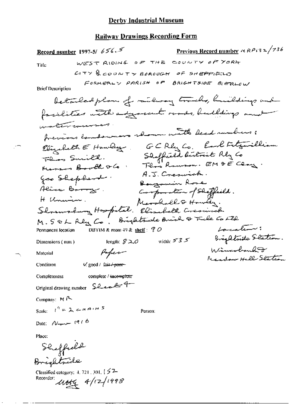Previous Record number  $\alpha$  RP i3 2/736 Record number 1997-5/  $656.5$ WEST RIDING OF THE COUNTY OF YORK Title  $C(TY)$  county BOROUGH of SHEPPIELD FORMERLY PARISH OF BRIGHTSIDE BIERLOW **Brief Description** betaledplan of reclaring tracks, buildings and facilities with adjourned roads, buildings and ستسوسون سيستعصص والمستعصر frevious landswears shown with Reed runbers ; Ebizabeth E Hawley GCRly Co. Earl Fetzwilliam<br>Floro Smith. Shoffield dutrit Rly Co.<br>Marson Booth VCo. Floro Roman. EM DE Clay. A.J. Creswick. Goo Shepherd. Bougomin Rose Aline Borry. Composition of Shiffield. H Unanian. H Uneven. Marshall & Howly.<br>Slosanshung Hospital. Elisabeth Cresimies M. SOL Rly Co. Brightrade Brick & Tile Co Ltd Location: DBYIM & room 49 & shelf :  $70$ Permanent location Brightnide Station. width:  $555$ length:  $$20$ Dimensions (mm) Wincolnulet Poper Material Readow Hell States. V. good / fair / poor-Condition complete / incomplete Completeness Original drawing number Sealer9 Company:  $M$ <sup>2</sup> Scale:  $I^h = \lambda \epsilon A^{A} A^{B}$ Person: Date:  $N_{\text{max}}$  (916) Place: Sheffield Brightniche Classified category: 4, 721, 301, [57-Recorder:  $4/12/1998$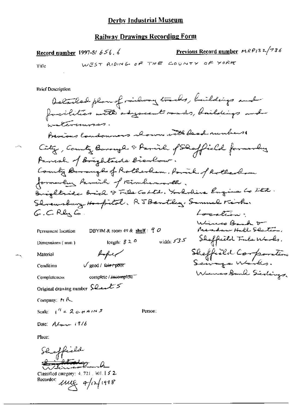Previous Record number  $MRP/32/736$ Record number 1997-5/ $656.6$ RΗ W

Title

**Brief Description** 

Company:  $M \sim$ 

Scale:  $1^4$  = 2 c + AIN 5

Person:

Date:  $AL_{\text{max}}$  (116

Place:

Shoffield Atology - A

Classified category: 4, 721, 301.152  $\mu$ ue a/12/1998 Recorder: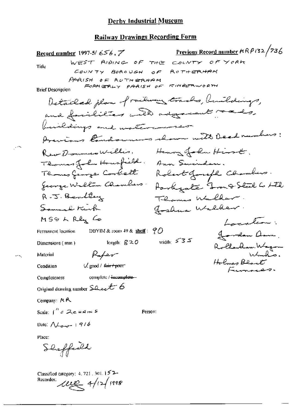Previous Record number  $ARPI32/236$ Record number 1997-5/656.  $\mathbb{Z}$ WEST RIDING OF THE COUNTY OF YORK Title COUNTY ROBOUGH  $ROTHERHAM$ o E.  $PARISH$  OF ROTHERHAM FORMERLY PARISH OF KIMBERWORTH **Brief Description** Detailed plan of railway tracks, buildings, and facilities with adgressed made, buildings and materianses Aventars Candonnais shown with Deed numbers: RearDownersWillis, Henry John Hirst, Thomas John Housfield. Ann Swinder. Thomas George Corbett Robert Joseph Chambers. Jeorge Willow Chambers: Rarkgate Jong Steel Co LTD R.J. Bentley Thomas Walker Somuch Kirk goshua Walker.  $MS\odot LRL_{x}$   $Co$ Localine. DBYIM & room 49 & shelf:  $90$ Permanent location goodon arm. width:  $535$ length:  $g \ge 0$ Dimensions (mm) Rollandam Wagon Paper Material Holmes Blant  $\sqrt{2}$  good / first point Condition Funnaces. complete / incomplete-**Completeness** Original drawing number  $\text{s}_\text{dec}$ t 6 Company: MR Scale:  $1'' = 2e + 4m5$ Person: Date:  $\Lambda_{\text{bound}}$  | 9/6 Place: Sheffeeld Classified category: 4, 721, 301, 152-Recorder: *Leve* 4/12/1998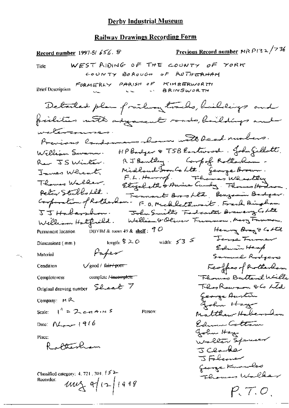Previous Record number MR  $P$ 132/736 Record number 1997-5/656. S WEST RIDING OF THE COUNTY OF YORK Title GOUNTY BOROUGH OF ROTHERHAM FORMERLY PARISH OF KIMBERWORTH **Brief Description BRINSWORTH** Detailed plan frailway tracks, buildings and facilities with adjacent roads, buildings and watercourse. Previous Condomnans aboun with bead numbers. HP Bardger & TSB Eastwood. John Gillott. William Swamn. RJ Bankley. Compof Rollerham. Ren JS Winter. Midland Souls Ltd. George Brown.<br>F.L. Harrop. Flowers Wheatly Innes Whent Thomas Wallar. Etizabeth & Anice Curdy . Thomas Hodro Peter Stubbs Let. Fernant Brookle, Benzamin Badger. Corporation of Rotherham-F.O. Michlethwait, French Bingham John Smiths Fadantes Brawery Colte  $55$  Habershow. Welliam & Oliver Funnion, Mary Funnion. William Halfrild. Permanent location DBYIM & room 49 & shelf:  $70$ Henny Brag & Cottle Terre Fumer length:  $$20$  width:  $53$ Dimensions (mm) Edwin Heap Paper Material Samuel Rodgers Feoffer of Rotherhom  $\sqrt{\text{good}/\text{ fair}+\text{part}}$ Condition Florenco Butterel Willi complete /-incomplete" **Completeness** They Rawson Olo Lide Original drawing number Sheet 7 George Austin Company:  $H R$ Gohn Haze Scale:  $1^{n} = 2c+n+1$ Matthew Hobers Don Person: Edmund Cottan Date:  $N_{\text{corr}}$  (916 John Hay Place: Waller Spanison ottenham J Clame J Folconer George Kunches Classified category:  $4, 721, 301, 152$ Thomas Willes Recorder:  $uw_{x}$  of  $(2|1999)$  $P, 7.0$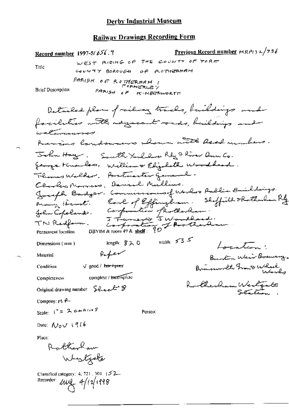<u>Previous Record number</u>  $HRA132/736$ Record number 1997-5/656.9 WEST RIDING OF THE COUNTY OF YORK Title COUNTY BOROUGH OF ROTHERHAM PARISH OF ROTHERHAM I **Brief Description** PARISH OF KIMBERWORTH Detailed plan of milway tracks, buildings and forcilities with regreant roads, buildings and watercourses Acrimo landsmens shown with Reed members. John Hay. South York live River Am Co. george Knowles. Williams Elizabeth Woodlead. Thomas Walker. Postmarter general. Centes Names, Daniel Mullins. Joseph Badger, Commissioners (Korlos Public Britaing)<br>Many Henre, Corl of Effinyham. Skyfild Rotherlan Ry<br>John Copeland, Companion photosolan:<br>TN Redform. Investor Thotherlan:<br>Permanent iscalion DBYIM&7001149& <u>shell</u>: 90 width:  $53$ iength: 820 Dimensions (mm)  $\sqrt{2\pi r}$ Afer Material Burkon Weir Brewing. Brimmonth Group Wheel √ good / fair+para Condition complete / incomplete Completeness Rutherham Wertgate Original drawing number Sheet 8 Company:  $M \xrightarrow{P}$ Scale:  $I^n = 2$  chains Person: Date:  $\mathcal{N}_{\mathcal{O}}$  $\vee$  1916 Place: Rutherlan Westgale Classified category: 4, 721, 304, 152-Recorder:  $\mu$  $\sim$  4/12/1998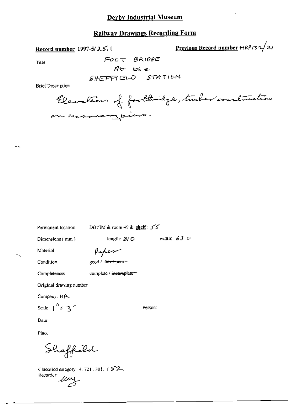## **Railway Drawings Recording Form**

Record number 1997-5/25, 1

<u>Previous Record number</u>  $\text{MRPI3} \rightarrow 24$ 

Title

**Brief Description** 

Permanent location

DBYIM & room 49 & shelf: 55

Dimensions (mm)

length:  $810$  width:  $630$ 

Material

 $\overline{\phantom{a}}$ 

Poper

Condition

Completeness

good / fair / poor-

complete / incomplete\*\*

Original drawing number

Company: HR-

Scale:  $\int_0^{H} z 3^{-n}$ 

Person:

Date:

Place.

Sheffield

Classified category 4, 721, 301, 152 Recorder  $\mu$ y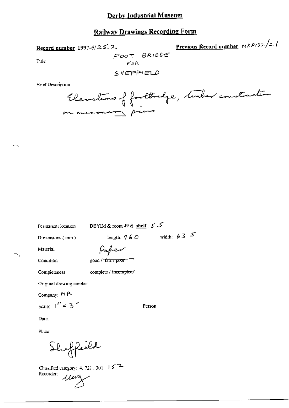# **Railway Drawings Recording Form**

Record number 1997-5/25.2.

Previous Record number MRP132/21

Title

FOOT BRIDGE FOR SHEFFIELD

**Brief Description** 

Elevations of footbridge, tender construction on massacron p

Permanent location

DBYIM & room 49 & shelf:  $55$ 

Dimensions (mm)

Paper

Condition

Material

good / "fair / poor"

Completeness

complete / incomplete\*

Original drawing number

Company: Pt P-

Scale:  $\int_0^t$  = 3<sup>2</sup>

Date:

Place:

Sheffeeld

Classified category:  $4, 723$ ,  $301$ ,  $15$ <sup>2</sup> Recorder: umy

Person:

length:  $960$  width:  $635$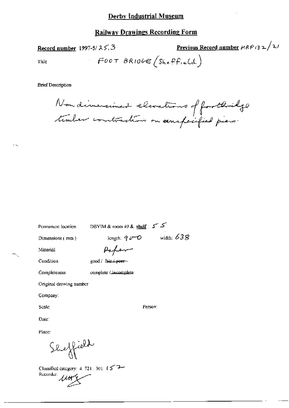### **Railway Drawings Recording Form**

Record number 1997-5/ $25.3$ 

Previous Record number  $\mu$ RP (32/2/

Title

FOOT BRIDGE (Sheffield)

**Brief Description** 

Nondimensioned elevations of footbilge

| Permanent location      | DBYIM & room 49 & $\text{shell}$ : $5 - 5$ |
|-------------------------|--------------------------------------------|
| Dimensions (mm)         | width: $638$<br>length: $q \rho$ - $\phi$  |
| Material                | $p_{\alpha}$ for                           |
| Condition               | good / fair / poer-                        |
| Completeness            | complete / incomplete                      |
| Original drawing number |                                            |
| Company:                |                                            |
| Scale:                  | Person:                                    |
| Date:                   |                                            |
| Place:                  |                                            |
| Sheffield               |                                            |

Classified category: 4, 721, 301,  $\int \mathcal{L}^{-2}$ Recorder:  $\mu$ ury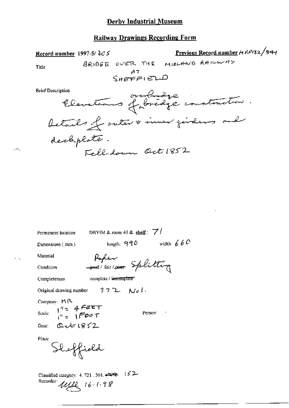| Record number 1997-5/ $305$                                                                                   |                                        | Previous Record number MRP132/341 |
|---------------------------------------------------------------------------------------------------------------|----------------------------------------|-----------------------------------|
| Title                                                                                                         | BRIDGE OVER THE MIDLAND RAILWAY        |                                   |
|                                                                                                               | $S$ HEFFIELD                           |                                   |
| <b>Brief Description</b>                                                                                      |                                        |                                   |
| vescriptions ordridge construction.                                                                           |                                        |                                   |
| decliplate.                                                                                                   |                                        |                                   |
|                                                                                                               | Fell down Oct 1852                     |                                   |
|                                                                                                               |                                        |                                   |
|                                                                                                               |                                        |                                   |
|                                                                                                               |                                        |                                   |
|                                                                                                               |                                        |                                   |
|                                                                                                               |                                        |                                   |
|                                                                                                               |                                        |                                   |
|                                                                                                               |                                        |                                   |
| Permanent location                                                                                            | DBYIM & room 49 & shelf: $\frac{7}{7}$ |                                   |
| Dimensions (mm)                                                                                               | length: $990$ width: $660$             |                                   |
| Material<br>ستملك                                                                                             |                                        |                                   |
| Condition                                                                                                     | good/fair/poor Splitting               |                                   |
| Completeness                                                                                                  | complete / incomplete"                 |                                   |
| Original drawing number $372$ No l.                                                                           |                                        |                                   |
| Company: MR                                                                                                   |                                        |                                   |
|                                                                                                               |                                        |                                   |
|                                                                                                               |                                        |                                   |
| Scale: $\frac{1}{1}$<br>$\frac{4}{1}$ = $\frac{4}{1}$ $\frac{6}{1}$ $\frac{6}{1}$ $\frac{6}{1}$ $\frac{6}{1}$ | Person: 7                              |                                   |
| Date: $Q$ $\sim$ $1952$                                                                                       |                                        |                                   |
| Shoffield<br>Place:                                                                                           |                                        |                                   |

 $\overline{\phantom{a}}$ 

Recorder ULL 16-1.98

 $\ddot{\phantom{0}}$ 

 $\leftarrow$ 

 $\epsilon \rightarrow$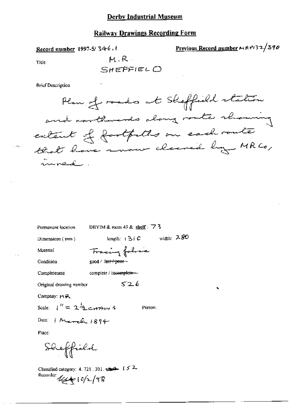#### **Railway Drawings Recording Form**

Record number 1997-5/34-6,

Previous Record number 
$$
\sim
$$
 R<sup>2</sup>132/390

ż

Title

$$
\mathsf{M.R.}\atop\mathsf{SHEFFIELO}
$$

**Brief Description** 

Plan of roads at Skeffield station and northwards along mate rhowing extent of fartfulls on each route that have more cleaned by MRCo,

DBYIM & room 49 & shelf:  $\overline{7}$ . Permanent location length:  $(3)$  C width: 280 Dimensions  $(mn)$ Fracing follows Material Condition good / fair / poor complete / incomplete-Completeness  $526$ Original drawing number Company: HR Scale:  $1'' = 2\frac{1}{2}$  carried 3 Person: Date:  $M = k \cdot 1894$ Place: Sheffield

Classified category: 4, 721, 301,  $\frac{2}{2}$  (5.2) Recorder:  $\mathcal{U}_{\mathcal{U}}(c/c)$  1  $c/c$  / 9  $\%$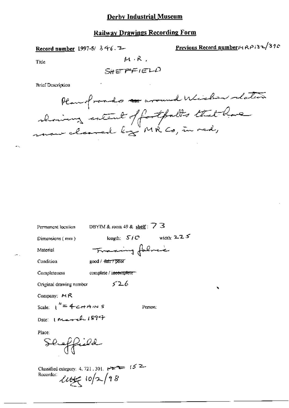Record number 1997-5/ 346.7-

Previous Record number<sub>14</sub> RP132/390

Title

 $S$ HEFFIELD

 $M \cdot R$ .

**Brief Description** 

Plan of roads a wound Wicher relation showing entered of fortpalls that have

| Permanent location       | DBYIM & room 49 & shelf: $\angle$ 3 |
|--------------------------|-------------------------------------|
| Dimensions (mm)          | width: $2.25$<br>length: $510$      |
| Material                 | Tracing folres                      |
| Condition                | good / <del>fair / poor</del>       |
| Completeness             | complete / i <del>ncomplete =</del> |
| Original drawing number  | 526                                 |
| Company: $M \mathcal{R}$ |                                     |
| Scale: $1'' = 4$ crains  | Person:                             |
| Date: I March 1894       |                                     |
| Place:<br>Shaffield      |                                     |
|                          |                                     |

Classified category: 4, 721, 30 Recorder:  $445$   $10/2/98$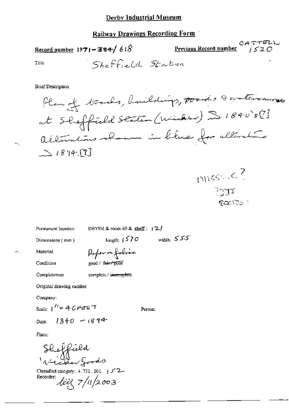# **Railway Drawings Recording Form**

CATTELL<br>Previous Record number  $1520$ Record number 1971-384/618 Sheffield Station Title

**Brief Description** 

÷.,



DBYIM & room 49 & shelf:  $\sqrt{2}$ Permanent location length:  $1570$  width:  $555$ Dimensions (mm) Poper or folice Material Condition good / fair / poor Completeness complete / <del>incomplete</del> Original drawing nember Company: Scale:  $1'' = 40$ FEET Person:

 $1840 - 1894$ Date:

Place:

Sheffield<br>Victor goods

Classified category:  $4.721$ , 301,  $\pm 5^{\circ}$ 2 Recorder: life 7/11/2003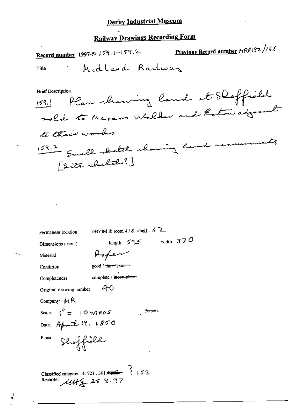# **Railway Drawings Recording Form**

Previous Record number HRP132/166 Record number 1997-5/ 159.1-159.2 Midland Railway Title **Brief Description** Plan showing land at Shoffield  $159.1$ 

Permanent location

DBYIM & room 49 & shelf:  $6$  2

Person:

Dimensions (mm)

length:  $59.5$  width:  $370$ Paper

good / fair / poor

Condition

Material

Completeness

complete / incomplete

-40 Original drawing number

Company:  $MR$ 

Scale:  $t^{\frac{1}{2}} = 10 \ \forall A \ R \ 0 \ S$ 

Date: April 19. 1850

Shoffield. Place:

Classified category: 4.721.301.4 4  $\frac{3}{1}$  152.<br>Recorder:  $\mu$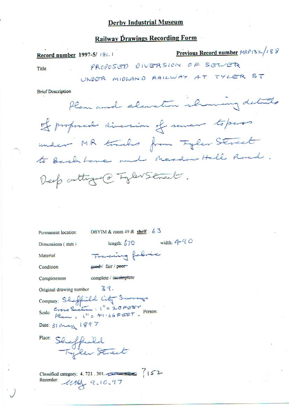# **Railway Drawings Recording Form**

| Record number 1997-5/181.1          |                                                                                                         | Previous Record number MRP132/188 |
|-------------------------------------|---------------------------------------------------------------------------------------------------------|-----------------------------------|
| Title                               | PROPOSED DIVERSION OF SELVER                                                                            |                                   |
|                                     | UNDER MIDLAND RAILWAY AT TYLER ST                                                                       |                                   |
| <b>Brief Description</b>            |                                                                                                         |                                   |
|                                     | Plan and elevation ilroming details                                                                     |                                   |
|                                     | of proposed diversion of sever topess                                                                   |                                   |
|                                     | under MR tracks from Tyler Street                                                                       |                                   |
|                                     | to Back Lane and Meadow Hall Road.                                                                      |                                   |
|                                     | Deep acting @ TyleNStreet.                                                                              |                                   |
|                                     |                                                                                                         |                                   |
| Permanent location                  | DBYIM & room 49 & shelf: $63$                                                                           |                                   |
| Dimensions (mm)                     | length: $670$ width: $4-90$                                                                             |                                   |
| Material                            | Tracing fabric                                                                                          |                                   |
| Condition                           | good fair / peor                                                                                        |                                   |
| Completeness                        | complete / incomplete                                                                                   |                                   |
| Original drawing number $\leq 3$ ?. |                                                                                                         |                                   |
|                                     |                                                                                                         |                                   |
|                                     | Company: Sheffield City Surveys<br>Scale: Gross Section: 1" = 20FEET Person:<br>Please: 1" = 41.66FEET. |                                   |
| Date: 31 May 1897                   |                                                                                                         |                                   |
| Place:                              |                                                                                                         |                                   |
|                                     | Sheffield<br>Tyler Street                                                                               |                                   |
|                                     |                                                                                                         |                                   |
|                                     |                                                                                                         |                                   |
| Recorder:                           | Classified category: 4. 721. 301.<br>41119.10.97                                                        |                                   |

 $44449.10.97$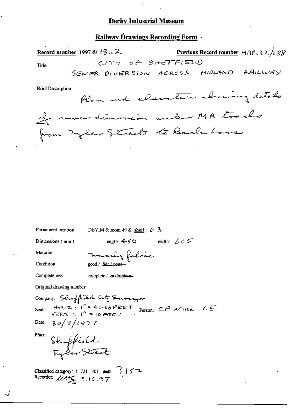## Railway Drawings Recording Form

|      | Record number 1997-5/181. $2$          |                         | <b>Previous Record number</b> $MRP + 32/189$ |
|------|----------------------------------------|-------------------------|----------------------------------------------|
| Tide | SEWER DIVERSION ACROSS MIDLAND RAILWAY | $CITY$ of site $FF1EDO$ |                                              |
|      |                                        |                         |                                              |

**Brief Description** 

Permanent location

Plan and electric chancing details of seven diversion under MR tracks from Tyler Streets to Back Lane

length:  $450$  width:  $605$ Dimensions (mm) Material Tracing fabric Condition good / fair / poer-Completeness complete / incomplete... Original drawing number Company: Shuffield City Surveyor<br>Scale: HeRIZ: 1" = 41.66FEET Person: CF Wike. CE  $30/7/1997$ 

DBYIM & room 49 & shelf:  $6\overline{3}$ 

Date: Place:

<sup>CE</sup> Sheffield<br>Tyler Street

Classified category: 4.721, 301,  $\bullet$   $\rightarrow$   $\rightarrow$   $\rightarrow$  Recorder:  $\mathcal{U}\mathcal{U}\subsetneq$  9.10.97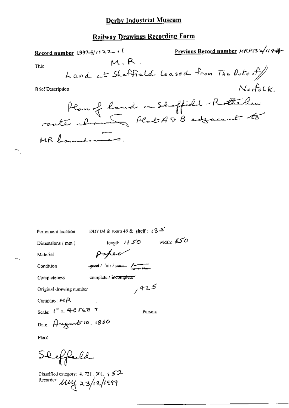## Railway Drawings Recording Form

| Record number 1997-5/1022<br>M.R.<br>Title<br>Land at Sheffield leased from The Duke of<br><b>Brief Description</b> | Previous Record number HRP132/1144<br>$N$ or $f$ o $C$ k |
|---------------------------------------------------------------------------------------------------------------------|----------------------------------------------------------|
| Plan of land on Shoffield-Rottchen                                                                                  |                                                          |
|                                                                                                                     |                                                          |
|                                                                                                                     |                                                          |
|                                                                                                                     |                                                          |
|                                                                                                                     |                                                          |
| DBYIM & room 49 & shelf : $\iota$ 3 $\leq$<br>Permanent location                                                    |                                                          |
| length: $1150$<br>Dimensions (mm)                                                                                   | width: $650$                                             |
| poper<br>Material                                                                                                   |                                                          |
| youd / fair / poor forward<br>Condition                                                                             |                                                          |
| complete / incomplete-<br>Completeness                                                                              |                                                          |
| 7425<br>Original drawing number                                                                                     |                                                          |

Company:  $\cancel{\mathcal{H}}$  R

Scale:  $\int_{-\infty}^{\infty} 4^4C$   $\vec{F} \in \vec{E}$  T Person.

Date: August 10, 1860

Place:

∼,

 $\sim$ 

Sheffeld

Classified category:  $4.721 \; .01 \; + 52$ Recorder:  $\mu\mu$ z zg/12/1999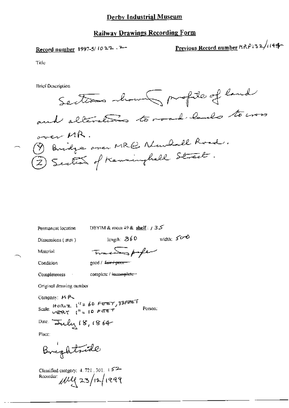## Railway Drawings Recording Form

# Record number 1997-5/1022.2-

Previous Record number  $MRPI32/1149$ 

Title

**Brief Description** 



Permanent location

DBYIM & room 49 & shelf:  $/35$ 

Dimensions (mm)

length:  $860$  width:  $500$ 

Material

Tractorphe good / fuir + poor

Condition

Completeness complete / incomplete -

Original drawing number

Company: MP

Scale: HORIZ  $1^{11} = 60$  FEBT, 33FPET Person:

Dale: Inly 18, 1864

Place:

Brightfide

Classified category:  $4.721$ ,  $301$ ,  $152-$ Recorder:  $1199$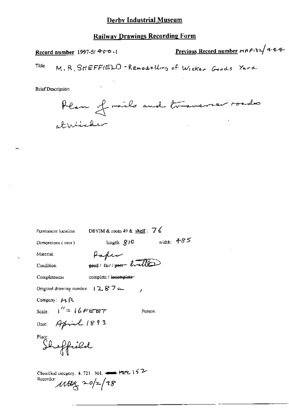Previous Record number  $ARP/32/444$ Record number 1997-5/400. Title M. R. SHEFFIELD-Remodelling of Wicker Goods Yard

**Brief Description** 

Plan of rails and traverser roades athlicker

DBYIM & room 49 & shelf:  $76$ Permanent location width:  $4-85$ length:  $810$ Dimensions (mm) Paper Material good / fair / poor - hvelle **Condition Completeness** complete / incomplete- $\overline{1}$ Company:  $\cancel{p_1}$  R Scale:  $1'' = 16$  FEBT Person: Date: April 1893<br>Place:<br>Sheffield

Original drawing number  $12.87 \sim$ 

Classified category. 4, 721, 301.  $\longleftrightarrow$  P22, 152 Recorder:  $\mu$ tog 20/2/98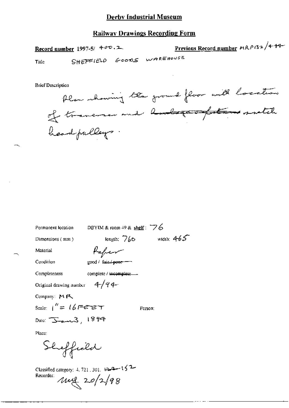#### **Railway Drawings Recording Form**

Record number 1997-5/ $400.2$ 

Previous Record number  $MRP/32/444$ 

Title

SHEFFIELD GOODS WAREHOUSE

**Brief Description** 

Permanent location

Plan showing the ground floor with location of traverse and hands heard pulleys.

| Dimensions $(mn)$              | length: $760$         | width: $4-65$ |
|--------------------------------|-----------------------|---------------|
| Material                       | Pafer                 |               |
| Condition                      | good / fair poor -    |               |
| Completeness                   | complete / incomplete |               |
| Original drawing number $4/94$ |                       |               |
| Company: $M R$                 |                       |               |
| Scale: $1'' = 16$ Fere $\tau$  |                       | Person:       |

DBYIM & room  $+9$  & shelf:  $\sqrt{6}$ 

Place:

Sheffield

Date:  $\sum_{\text{max}}$  1894

-152 - Classified category: 4, 721, 301, 124 - 152 Recorder:  $148$   $20/2/98$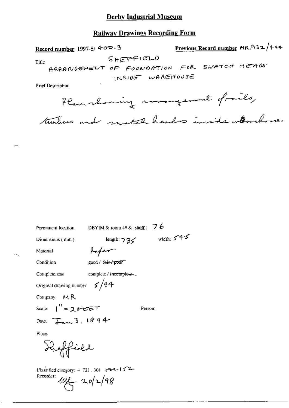## **Railway Drawings Recording Form**

Previous Record number MRP132/444 Record number 1997-5/ $4\sigma\Phi$ . 3 SHEFFIELD Title ARRANGEMENT OF FOUNDATION FOR SWATCH HEADS INSIDE WAREHOUSE **Brief Description** 

 $\cdot$  -  $\cdot$ 

Plan chowing arrangement of rails, timbers and match heads invite wavelove.

| Permanent location                                                               | DBYIM & room 49 & shelf: 7 6        |              |
|----------------------------------------------------------------------------------|-------------------------------------|--------------|
| Dimensions (mm)                                                                  | length: $735$                       | width: $545$ |
| Material                                                                         | Haper                               |              |
| Condition                                                                        | good / f <del>air / poor "</del>    |              |
| Completeness                                                                     | compicte / i <del>ncomplete</del> = |              |
| Original drawing number $\int$ /q 4                                              |                                     |              |
| Company: $M R$                                                                   |                                     |              |
| Scale: $\int'' = 2 \, \text{Ferff}$                                              |                                     | Person:      |
| Date: $\frac{1}{2}$ $\frac{3}{1894}$                                             |                                     |              |
| Place:                                                                           |                                     |              |
| Heffield                                                                         |                                     |              |
| Classified category: $4.721 \pm 301$ $+4.4 - 152$<br>Recorder:<br>$44 - 20/2/98$ |                                     |              |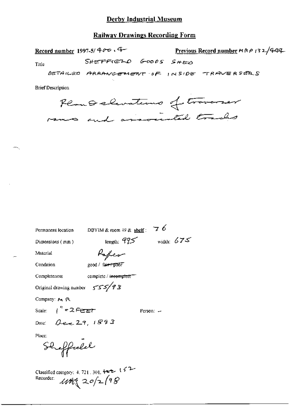## **Railway Drawings Recording Form**

Record number 1997-5/ $400 \cdot 4$ Previous Record number  $m$   $R$   $\rho$   $/$  3  $\geq$   $/$  444 SHEFFIELD GOODS SHED Title DETAILED ARRANGEMENT OF INSIDE TRAVERSERS

**Brief Description** 

Remoderations of traverser

| Permanent location               | DBYIM & room 49 & shelf : $\overline{7}$ 6                                       |           |              |
|----------------------------------|----------------------------------------------------------------------------------|-----------|--------------|
| Dimensions (mm )                 | length: $975$                                                                    |           | width: $675$ |
| Material                         | Kafeer                                                                           |           |              |
| Condition                        | good / fair+poor                                                                 |           |              |
| Completeness                     | complete / i <del>ncomplete =</del>                                              |           |              |
| Original drawing number          | 555/93                                                                           |           |              |
| Company: A. R.                   |                                                                                  |           |              |
| Scale: $\int^{\eta}$ = 2 Ference |                                                                                  | Person: — |              |
| Date: $Q_{ex}$ 29, 1893          |                                                                                  |           |              |
| Place:                           |                                                                                  |           |              |
| Sheffeeld                        |                                                                                  |           |              |
| Recorder:                        | Classified category: 4, 721, 301, $\leftarrow$ 1 $\leftarrow$<br>$40 + 20/2$ (98 |           |              |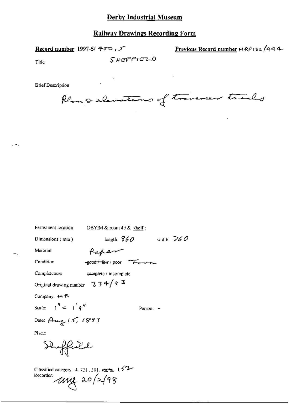Record number 1997-5/ 400,

Previous Record number MRP132/444

Title

 $\sim$ 

 $S$ *HEFFIELD* 

**Brief Description** 

Plant elevations of traverser trails

| Permanent location                                 | DBYIM & room $49$ & shelf:                   |              |
|----------------------------------------------------|----------------------------------------------|--------------|
| Dimensions (mm)                                    | length: $960$                                | width: $760$ |
| Material                                           | taper                                        |              |
| Condition                                          | e <del>cod / leir</del> / poor <del>Fe</del> |              |
| Completeness                                       | complete / incomplete                        |              |
| Original drawing number                            | 334/93                                       |              |
| Company: $M$ R                                     |                                              |              |
| Scale: $\int_0^{\eta} dx = \int_0^{\eta} 4^{\eta}$ | Person:                                      |              |
| Date: Aug 15, 1893                                 |                                              |              |
| Place:                                             |                                              |              |
| Haffeeld                                           |                                              |              |

Classified category: 4, 721, 301,  $\leftarrow$  152 Recorder.<br> $11/198$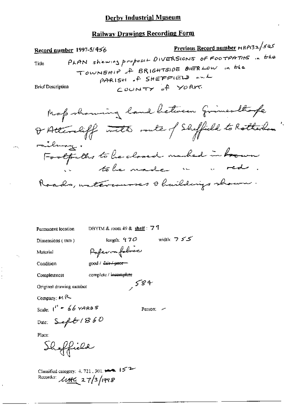# **Railway Drawings Recording Form**

Permanent location

DBYIM & room 49 & shelf: 7 7

Dimensions (tnm)

length:  $470$  width:  $755$ 

Person: ~

Material Condition

 $\ddotsc$ 

J.

good / fair / poor-

complete / incomplete  $584$ 

Pofermafebric

Original drawing number

Company: MR

Completeness

Scale:  $1''$  = 66 YARD 5

Date:  $SefG/860$ 

Place:

are<br>Shoffield

Classified category: 4, 721, 301,  $\leftarrow$  152 Recorder:  $\text{width}$  27/3/1998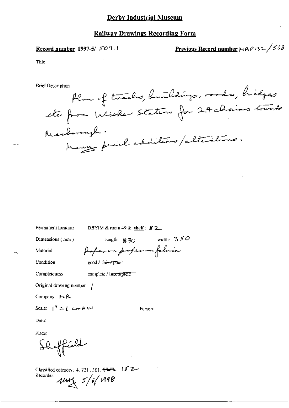#### **Railway Drawings Recording Form**

Record number 1997-5/ 509.1

Previous Record number  $\mu$   $\beta$   $\beta$   $\alpha$   $\alpha$  /  $\beta$   $\delta$   $\beta$ 

Title

**Brief Description** 

Plan of tracks, buildings, roads, bridges Marborough. Many peril additions/alterations.

| Dimensions (mm)                | length: $\frac{1}{2}$ 30   | width: $350$ |
|--------------------------------|----------------------------|--------------|
| Material                       | Paper on proper on folosic |              |
| Condition                      | good / fairy poor          |              |
| Completeness                   | complete / incomplete      |              |
| Original drawing number $\int$ |                            |              |

DBYIM & room 49 & shelf : 8.2

Person:

Company:  $H R$ 

Permanent location

Scale:  $1^{it} = 1$  can A IIM

Date:

Place:

Shaffield

Classified category: 4, 721 . 301. 4222. 15 2. Recorder:  $1044 \times 5/6/1998$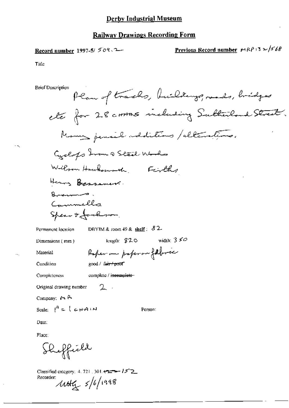Record number 1997-5/ 509.2

Previous Record number  $F(R)$  3  $\approx$  /568

Title

 $\ddot{\sim}$ 

 $\ddotsc$ 

**Brief Description** 

Prior Description

\nElectronal form of tracks, heidelberg, reads, bridges

\nelse for 28 centres including Sufficient, humans, panels, and Steal, including Sufficient, and Steal, and Sient, and the use of the two-dimensional numbers.

\nHeams Bessamers.

\nPermment local form, Iright 82

\nPermment location. DBYIM & room 49 & fall: 82

\nDimension (mm) Iright: 820 width: 350

\nMaterial

\nConfilism (cond) 664, 1667, 1676

\nConfilism (cond) 6667, 1667, 1676

\nConfilism (cond) 6667, 1668, 1677, 1687

\nComplicness of complex/ineompleto

\nOriginal drawing number 2, 1

\nComparing: M.A

\nScale: 
$$
1^4 = 1
$$
 c+14: N

\nBase:

\nPlace:

\nPlace:

\nPart, 1

\nPart, 2

\nPart, 3

Classified category:  $4.721 \pm 301.422 - 152$ Recorder:  $10\frac{1}{2}$   $5/6/1998$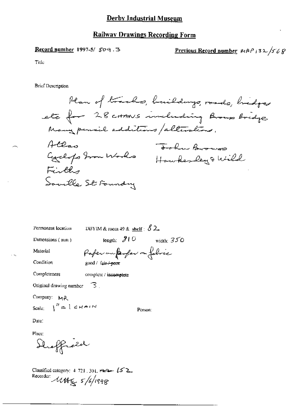#### Record number 1997-5/ 509.3

Previous Record number  $MPPS2$  /568

Title

**Brief Description** 

Plan of tracks, buildings, roads, bridges ets for 28 corners including Brown Bridge Many period additions / alterations. Allas John Browns Hilas Tookn Browns Fille Soulle St Foundry

Permanent location

DBYIM & room 49 & shelf  $\beta$  2.

Dimensions (mm)

length:  $210$  width:  $350$ 

Material

Completeness

Condition

Paper un parfer on fabric

good / fair + poor

complete / incomplete

Original drawing number  $\Box$ 

Company: MR

Scale  $I'' = \lceil c_{HAI} \rceil$ 

Person:

Date:

Place:

Sheffreed

Classified category:  $4.721, 301$ ,  $\implies$   $(5^{\circ}2)$ Recorder: 11th & 5/6/1998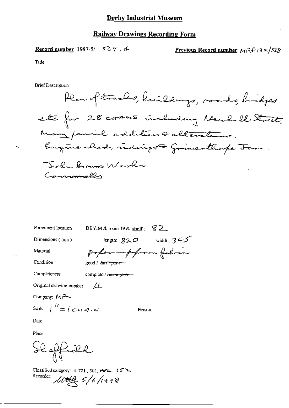Record number 1997-5/  $504.4$ <u>Previous Record number</u>  $\mu_1$ 34/32/568

Title

**Brief Description** 

Plan of trachs, buildings, roads, bridges ete for 28 cross including Newhall Street. Many pancial additions & alterations. Engine shed, indings of frimes thought tem. John Browns Works Camponiello

| Permanent location                                                                                                     | 82.<br>DBYIM & room $49$ & shelf;    |
|------------------------------------------------------------------------------------------------------------------------|--------------------------------------|
| Dimensions $(mm)$                                                                                                      | width, $345$<br>length: $820$        |
| Material                                                                                                               | poper ou poper on folose             |
| Condition                                                                                                              | $good / 2$ $bin / 2$                 |
| Completeness                                                                                                           | complete / <del>incomplete —</del> — |
| Original drawing mumber                                                                                                | 4                                    |
| Company: 14 P-                                                                                                         |                                      |
| Scale: $\int$ $\frac{H}{2}$ $\int$ $\frac{1}{2}$ $\int$ $\frac{1}{2}$ $\int$ $\frac{1}{2}$ $\int$ $\frac{1}{2}$ $\int$ | Person:                              |
| Date:                                                                                                                  |                                      |

Place:

Shoffield

Classified category: 4, 721, 301, Herz. 15 Recorder: 1000 5/6/1998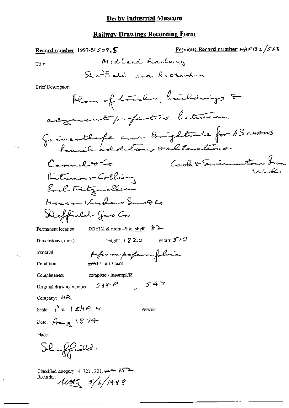## **Railway Drawings Recording Form**

### Record number 1997-5/ $50$  ?,  $5$

Previous Record number  $r_1$ A $\rho$ 132/ $56$ 8 Midland Railway

Title

жy.

**Brief Description**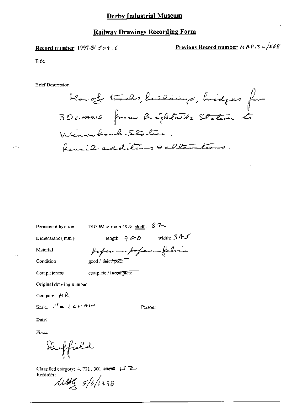#### **Railway Drawings Recording Form**

Record number 1997-5/ $509.6$ 

Previous Record number  $\approx$   $RP$ 13  $\approx$   $/56$ 8

Title

**Brief Description** 

Plan of tracks, buildings, hidges for 30 cross from Brightoide Station to Wincolmb Station Rencil additions & alterations

DBYIM & room 49 & shelf :  $8$   $2-$ 

Dimensions (mm)

Permanent location

length:  $940$  width:  $345$ paper on poper in folice

Material

Condition

Completeness

good / farry poor

complete / incomplete

Original drawing number

Company:  $P_1R$ 

Scale:  $l'' = l c H A M$ 

Person:

Date:

Place:

Heffield

Classified category: 4, 721, 301,  $\leftarrow$  15<sup> $\rightarrow$ </sup> Recorder: usel s/o/1998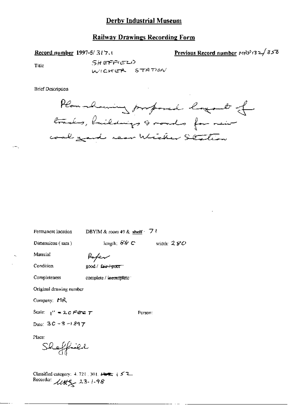#### **Railway Drawings Recording Form**

Record number 1997-5/317.1

Previous Record number  $MRPI32/358$ 

Title

**SHEFFIELD** WICKER STATION

**Brief Description** 

Plan showing proposed logout of tracks, buildings & roads for rein coal gard rear Wicker Station

Permanent location

DBYIM & room 49 & shelf  $\cdot$  7  $\cdot$ 

Dimensions (mm)

length;  $88^\circ$  C width:  $280^\circ$ 

Person:

Condition

Material

good / fair-poor

Paper

Completeness

complete / incomplete"

Original drawing number

Company: MR

Scale:  $I'' = 20$  Fere  $T$ 

Date:  $3C - 3 - 1897$ 

Place:

Sheffiel

Classified category: 4, 721, 301,  $\downarrow \downarrow \downarrow \uparrow \uparrow \uparrow$ Recorder  $\mathcal{U} \mathcal{H}^2$  23-1-98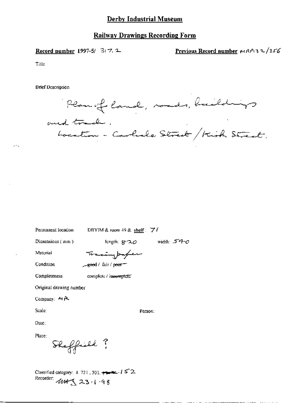#### **Railway Drawings Recording Form**

Record number 1997-5/ 3t 7. 2

Previous Record number  $wAP_132/356$ 

— — — — <u>— — — —</u>

Title

**Brief Description** 

Plan of land, mad, buildings<br>rd track,<br>hoesten - Carliele Street / Kirk Street, and track.

Permanent location DBYIM & room 49 & shelf:  $\overrightarrow{7}$  f

Person;

Dimensions (mm)

length:  $g \rightarrow o$  width:  $540$ 

Material

Tracingpaper

Condition

 $-$ good / fair /  $pccor$ 

Completeness

complete / insemptote

Original drawing number

Company: MR

Scale:

Date:

Place:

Skeffield?

Classified category:  $4.721$ ,  $301$ ,  $\leftrightarrow$   $152$ . Recorder: 1145 23.1.98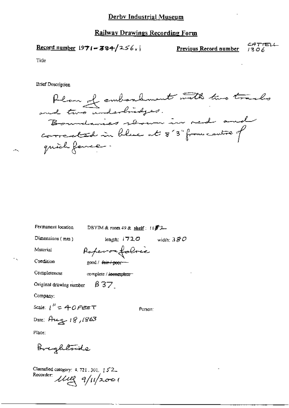# Railway Drawings Recording Form

$$
\underline{\text{Record number}} 1971 - 384 / 256.
$$

 $\overline{a}$ 

CATTELL Previous Record number  $1306$ 

l,

Title

÷ k

**Brief Description** 

| Permanent location<br>DBYIM & room $49$ & shelf: $11872-$         |
|-------------------------------------------------------------------|
| Dimensions (mm)<br>length: $1720$<br>width: $380\,$               |
| Raperonfoloric<br>Material                                        |
| Condition<br>good / <del>fair / poor ---</del>                    |
| Completeness<br>complete / <del>incomplete =</del>                |
| $\beta$ 37<br>Original drawing number                             |
| Company;                                                          |
| Scale: $1'' = 40$ Fere T<br>Person:                               |
| Date: Aug 18,1863                                                 |
| Place:                                                            |
| Brightnide                                                        |
| Classified category: 4, 721, 301, 152<br>Recorder: 1112 9/11/2001 |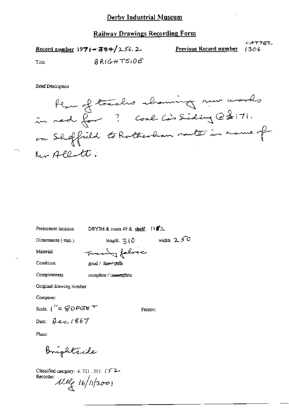CATTEL Record number  $1971 - 384/256.2$ Previous Record number  $1306$ RRIGHTSIDE Title

**Brief Description** 



Permanent location

DBYIM & room  $49$  & shelf:  $1182$ 

Dimensions (mm)

width:  $2.50$ length:  $3(0)$ 

Material

Franky fabric

 $\sigma\rightarrow$ 

Condition

good / fair / poor

Completeness complete / incomplete

Original drawing nember

Company:

Scale:  $1'' = 80$  Figure  $T$ 

Date:  $\theta$  ex 1867

Person:

Place:

Brightside

Classified category: 4, 721, 301,  $152-$ Recorder: Melg 16/11/2001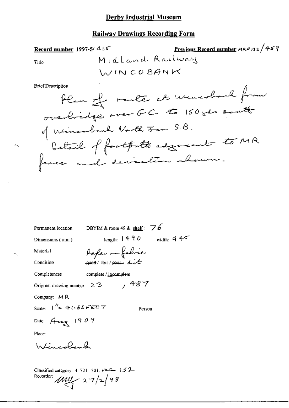## **Railway Drawings Recording Form**

Previous Record number 118P132/459 Record number 1997-5/41.5 Midland Railway Title WINCOBANK

**Brief Description** 

DBYIM & room 49 & shelf:  $76$ Permanent location  $length: 1490$  width:  $445$ Dimensions (mm) Rafer on fabric Material good fair poor dirt Condition Completeness complete / <u>incomplete</u>  $,487$ Original drawing number  $2.3$ Company: MR Scale:  $1'' = 41.66$  FEET Person: Date:  $A - 1909$ Place: Wincoland Classified category: 4, 721, 301, 1964-152 Recorder:  $\mu$ <br> $\mu$  27/2/98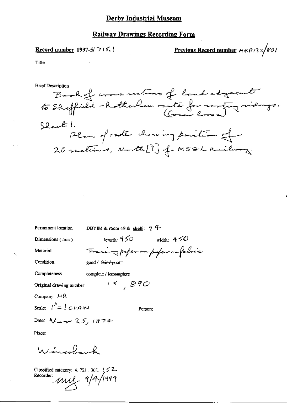#### **Railway Drawings Recording Form**

#### Record number 1997-5/715.1

Previous Record number  $H \beta / 3$  2/80/

Title

**Brief Description** 



Permanent location

DBYIM & room 49 & shelf:  $74$ 

 $(4, 890)$ 

Dimensions (mm)

Material

Condition  $good /$  fair  $+$  poor

Completeness complete / incomplete

Original drawing number

Company: MR

Scale:  $\int_0^h = \int C \mu A \mu A$ 

Person:

Iength:  $950$  width:  $450$ 

Training paper on paper on folice

Date:  $N_{+}$  25, 1874

Place:

Wincolor

Classified category: 4. 721, 301,  $1 \le 2$ . Recorder:  $\mu$  $\mu$  $\leftarrow$  9/4/1999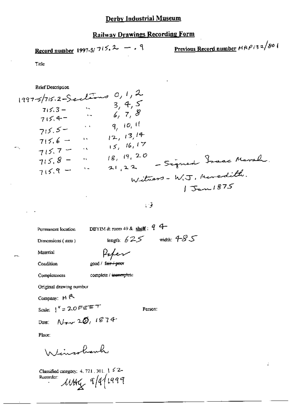# **Railway Drawings Recording Form**

Previous Record number  $MRP/3$  2/80 ( Record number 1997-5/7(5, 2 - . 9

Title

**Brief Description** 

ιĴ

Permanent location

DBYIM & room 49 & shelf:  $94 -$ 

Dimensions (nm)

length:  $625$  width:  $485$ 

Material

Paper

Condition

good / fair / poor

Completeness

complete / incomplete

Original drawing number

Company: MR

Scale:  $\frac{1}{2}$  = 20 FEET

Person:

ž,

 $N_{\text{env}}$  20, 1874 Date:

Place:

Jimrohanh

Classified category: 4, 721, 301,  $\frac{1}{2}$   $\leq$  2- $\mu$ uty 9/4/1999 Recorder: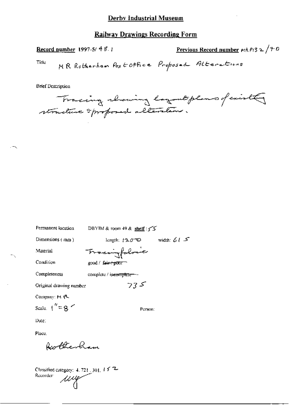Record number 1997-5/ 48.1

Previous Record number  $r(RP/3 \geq \sqrt{\frac{P}{C}})$ 

Title

**Brief Description** 

Tracing chaning layout plans of exist structure sprofored alteration.

| Permanent location        | DBYIM & room 49 & shelf : $\leq$   |               |
|---------------------------|------------------------------------|---------------|
| Dimensions (mm)           | length: <i>[</i> Ղ∂ <sup>−</sup> © | width: $61.5$ |
| Material                  | Tracingfolosie                     |               |
| Condition                 | $good /$ sair-+pont                |               |
| Completeness              | complete / ipcomplete --           |               |
| Original drawing number   | 735                                |               |
| Company: M に              |                                    |               |
| Scale. $\binom{n}{k}$ = 8 | Person:                            |               |
| Due:                      |                                    |               |
| Place.                    |                                    |               |

Rotherham

Classified category:  $4.721, 301, 15.72$ <br>Recorder: Recorder: ung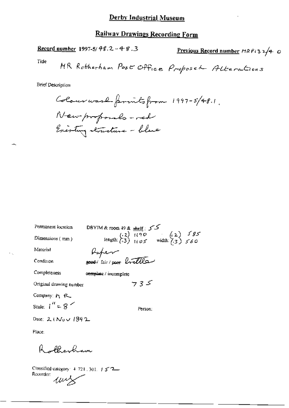Record number 1997-5/48.2-48.3

Previous Record number  $MRPI32/4$  O

Tide

**Brief Description** 

DBYIM & room 49 & shelf:  $55$ <br>(.2)  $1(90)$ <br>length: (.3)  $1(95)$  width: (.3)  $585$ Permanent location Dimensions (mm) Raper Material Condition Completeness complete / incomplete  $735$ Original drawing number Company: Fr R\_ Scale:  $1'' = 8$ Person: Date: 2 (Nov 1892)

Place:

Rollerham

Classified category: 4-721, 301, 1572 Recorder: unz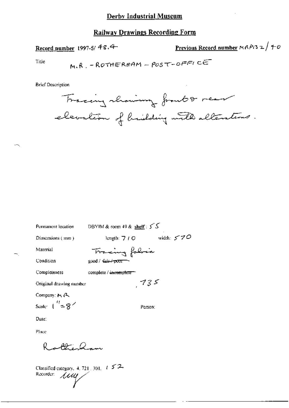Record number 1997-5/48.4

Previous Record number 
$$
MAP(3 2 / +0
$$

Title

н.,

$$
M.R. -ROTHERHAM - POST-OFFI CC
$$

**Brief Description** 



| Permanent location                      | DBYIM & room 49 & shelf: $5.5$     |
|-----------------------------------------|------------------------------------|
| Dimensions (mm)                         | width: $570$<br>length: $7/0$      |
| Material                                | Transing fabric                    |
| Condition                               | good / fair / poor                 |
| Completeness                            | complete / <del>incomplete =</del> |
| Original drawing number                 | 735                                |
| Company: M. P.                          |                                    |
| Seale: $\binom{11}{2}$ = 8 <sup>2</sup> | Person:                            |
| Date :                                  |                                    |

Place

otheran R

Classified category, 4, 721, 301,  $|t| \leq 2$ . Recorder: *Lall*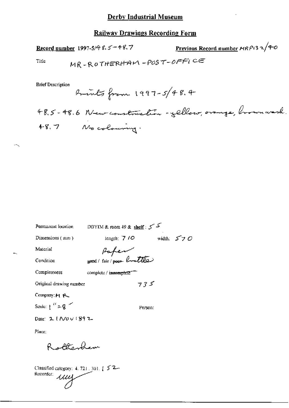## **Railway Drawings Recording Form**

## Record number 1997-5/4 8.5 - 48.7

Previous Record number  $MRP$ 13  $2/40$ 

Title

 $\ddotsc$ 

**Brief Description** 

DBYIM & room 49 & shelf :  $5^{25}$ Permanent location length;  $710$  width:  $570$ Dimensions (mm) paper Material Condition Completeness complete / incomplete"  $735$ Original drawing number Company: M R Scale:  $1^{11} = 8$ Person: Date: 2 1 Nov 1 89 2

Place;

Rottenham

Classified category: 4, 721, 301, [ 5<sup>2</sup>-Recorder: мщ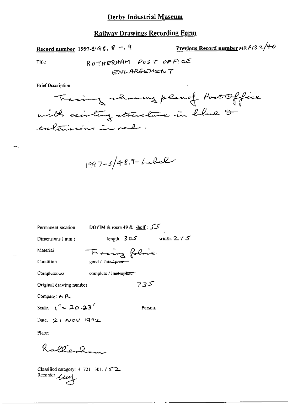Record number 1997-5/48. 8 -. 9

Previous Record number HR P13 2/40

Title

ROTHERHAM POST OFFICE **ENLARGEMENT** 

**Brief Description** 



 $1997 - 5/48.9 - L. L.$ 

كركر : Permanent location DBYIM & room 49 & shelf length:  $305$  width:  $275$ Dimensions  $(mm)$ Tracing folice Material good / fair / noor Condition Completeness complete / in<del>complete -</del> 735 Original drawing number Company: M R Scale:  $\sqrt{4}$  = 20.33 Person: Date: 21 NOV 1892

Place:

Ralterham

Classified category: 4, 721, 301,  $\frac{1}{2}$   $\leq$  2. Recorder *ULLE*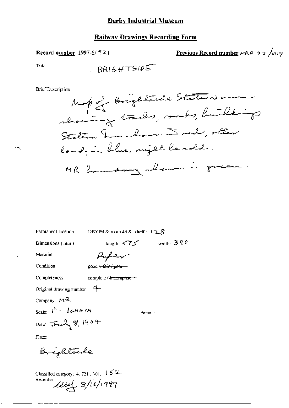#### Record number 1997-5/921

Previous Record number  $H(P \mid 3 \ge \sqrt{1017})$ 

Title

**Brief Description** 



Permanent location

DBYIM & room 49 & shelf:  $128$ 

Dimensions (mm)

length:  $590$  width:  $390$ 

Material

Condition Completeness

complete / incomplete -

good /<del>-fair / poor</del>

Roper

Original drawing number  $4-$ 

Company:  $\nu$ <sup>t</sup>R

Scale:  $I^h = I \subset H \cap N$ Date:  $\frac{1}{2}$   $\frac{1}{2}$   $\frac{1}{2}$   $\frac{1}{2}$   $\frac{1}{2}$   $\frac{1}{2}$   $\frac{1}{2}$   $\frac{1}{2}$   $\frac{1}{2}$   $\frac{1}{2}$   $\frac{1}{2}$ 

Person:

Place:

Brightrade

Classified category: 4, 721, 301,  $152$ 

Recorder Lieux 8/10/1999